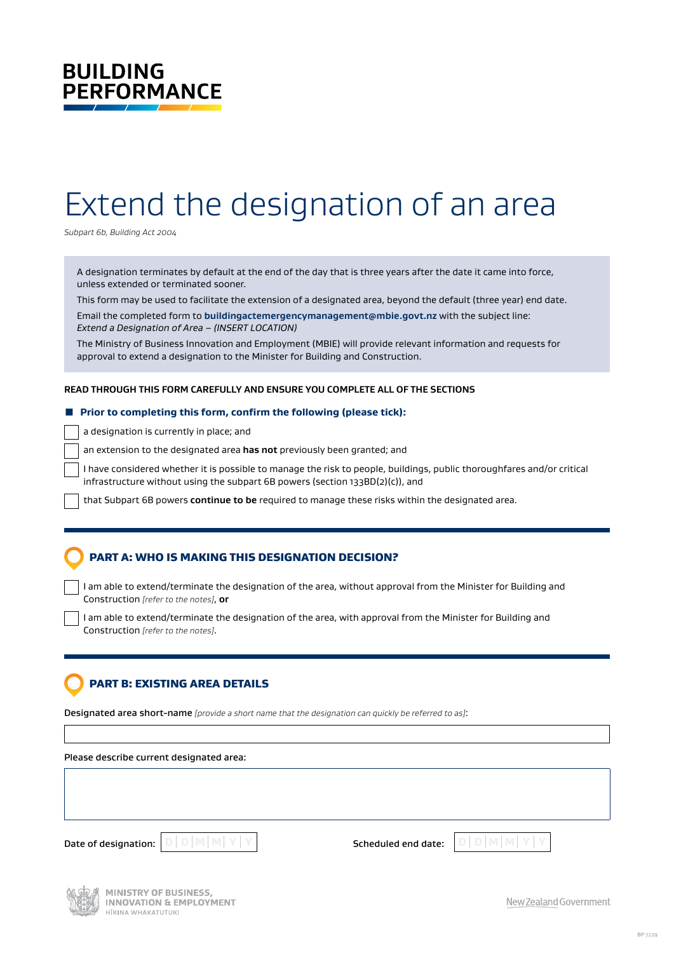# **BUILDING PERFORMANCE**

# Extend the designation of an area

*Subpart 6b, Building Act 2004*

A designation terminates by default at the end of the day that is three years after the date it came into force, unless extended or terminated sooner.

This form may be used to facilitate the extension of a designated area, beyond the default (three year) end date. Email the completed form to **[buildingactemergencymanagement@mbie.govt.nz](mailto:buildingactemergencymanagement%40mbie.govt.nz?subject=)** with the subject line: *Extend a Designation of Area – (INSERT LOCATION)*

The Ministry of Business Innovation and Employment (MBIE) will provide relevant information and requests for approval to extend a designation to the Minister for Building and Construction.

#### **READ THROUGH THIS FORM CAREFULLY AND ENSURE YOU COMPLETE ALL OF THE SECTIONS**

#### ■ Prior to completing this form, confirm the following (please tick):

a designation is currently in place; and

an extension to the designated area **has not** previously been granted; and

I have considered whether it is possible to manage the risk to people, buildings, public thoroughfares and/or critical infrastructure without using the subpart 6B powers (section 133BD(2)(c)), and

that Subpart 6B powers **continue to be** required to manage these risks within the designated area.

## PART A: WHO IS MAKING THIS DESIGNATION DECISION?

I am able to extend/terminate the designation of the area, without approval from the Minister for Building and Construction *[refer to the notes]*, **or**

I am able to extend/terminate the designation of the area, with approval from the Minister for Building and Construction *[refer to the notes]*.

### PART B: EXISTING AREA DETAILS

Designated area short-name *[provide a short name that the designation can quickly be referred to as]*:

Please describe current designated area:

Date of designation:  $\boxed{\mathbb{D}}$   $\boxed{\mathbb{D}}$   $\boxed{\mathbb{M}}$   $\boxed{\mathbb{M}}$   $\boxed{\mathbb{Y}}$   $\boxed{\mathbb{Y}}$   $\boxed{\mathbb{N}}$  and  $\boxed{\mathbb{M}}$  and  $\boxed{\mathbb{M}}$  and  $\boxed{\mathbb{M}}$  and  $\boxed{\mathbb{N}}$  and  $\boxed{\mathbb{M}}$  and  $\boxed{\mathbb{M}}$  and  $\boxed{\mathbb{M}}$  and  $\boxed{\mathbb{M}}$  and



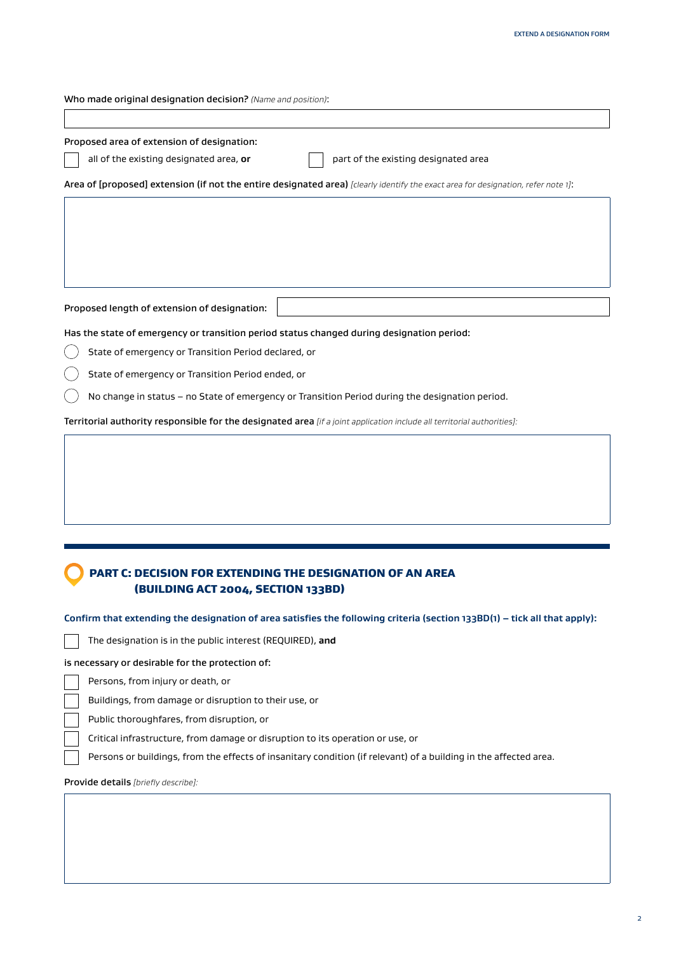| Who made original designation decision? (Name and position):                                                                      |
|-----------------------------------------------------------------------------------------------------------------------------------|
|                                                                                                                                   |
| Proposed area of extension of designation:                                                                                        |
| all of the existing designated area, or<br>part of the existing designated area                                                   |
| Area of [proposed] extension (if not the entire designated area) [clearly identify the exact area for designation, refer note 1]: |
|                                                                                                                                   |
|                                                                                                                                   |
|                                                                                                                                   |
|                                                                                                                                   |
|                                                                                                                                   |
| Proposed length of extension of designation:                                                                                      |
| Has the state of emergency or transition period status changed during designation period:                                         |
| State of emergency or Transition Period declared, or                                                                              |
| State of emergency or Transition Period ended, or                                                                                 |
| No change in status - no State of emergency or Transition Period during the designation period.                                   |
| Territorial authority responsible for the designated area [if a joint application include all territorial authorities]:           |
|                                                                                                                                   |
|                                                                                                                                   |
|                                                                                                                                   |
|                                                                                                                                   |
|                                                                                                                                   |
|                                                                                                                                   |
|                                                                                                                                   |

## PART C: DECISION FOR EXTENDING THE DESIGNATION OF AN AREA (BUILDING ACT 2004, SECTION 133BD)

| Confirm that extending the designation of area satisfies the following criteria (section 133BD(1) - tick all that apply): |  |  |  |  |  |  |
|---------------------------------------------------------------------------------------------------------------------------|--|--|--|--|--|--|
|---------------------------------------------------------------------------------------------------------------------------|--|--|--|--|--|--|

The designation is in the public interest (REQUIRED), **and**

#### is necessary or desirable for the protection of:

Persons, from injury or death, or

Buildings, from damage or disruption to their use, or

Public thoroughfares, from disruption, or

Critical infrastructure, from damage or disruption to its operation or use, or

Persons or buildings, from the effects of insanitary condition (if relevant) of a building in the affected area.

#### Provide details *[briefly describe]:*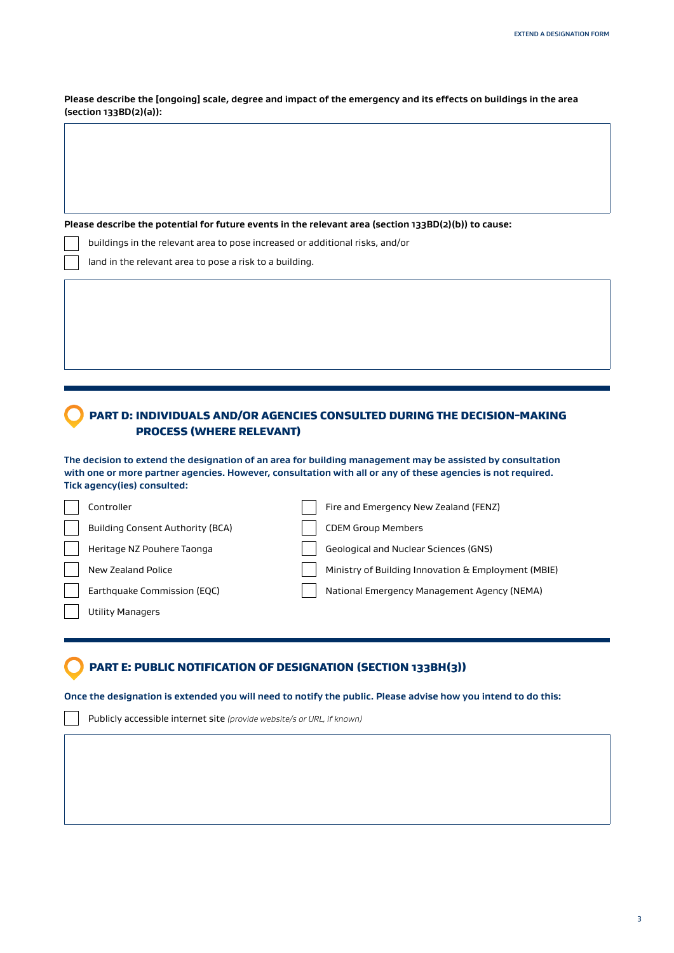**Please describe the [ongoing] scale, degree and impact of the emergency and its effects on buildings in the area (section 133BD(2)(a)):**

**Please describe the potential for future events in the relevant area (section 133BD(2)(b)) to cause:**

buildings in the relevant area to pose increased or additional risks, and/or

land in the relevant area to pose a risk to a building.

# PART D: INDIVIDUALS AND/OR AGENCIES CONSULTED DURING THE DECISION-MAKING PROCESS (WHERE RELEVANT)

**The decision to extend the designation of an area for building management may be assisted by consultation with one or more partner agencies. However, consultation with all or any of these agencies is not required. Tick agency(ies) consulted:**

| Controller                              | Fire and Emergency New Zealand (FENZ)               |
|-----------------------------------------|-----------------------------------------------------|
| <b>Building Consent Authority (BCA)</b> | <b>CDEM Group Members</b>                           |
| Heritage NZ Pouhere Taonga              | Geological and Nuclear Sciences (GNS)               |
| New Zealand Police                      | Ministry of Building Innovation & Employment (MBIE) |
| Earthquake Commission (EQC)             | National Emergency Management Agency (NEMA)         |
| Utility Managers                        |                                                     |

## PART E: PUBLIC NOTIFICATION OF DESIGNATION (SECTION 133BH(3))

**Once the designation is extended you will need to notify the public. Please advise how you intend to do this:**

Publicly accessible internet site *(provide website/s or URL, if known)*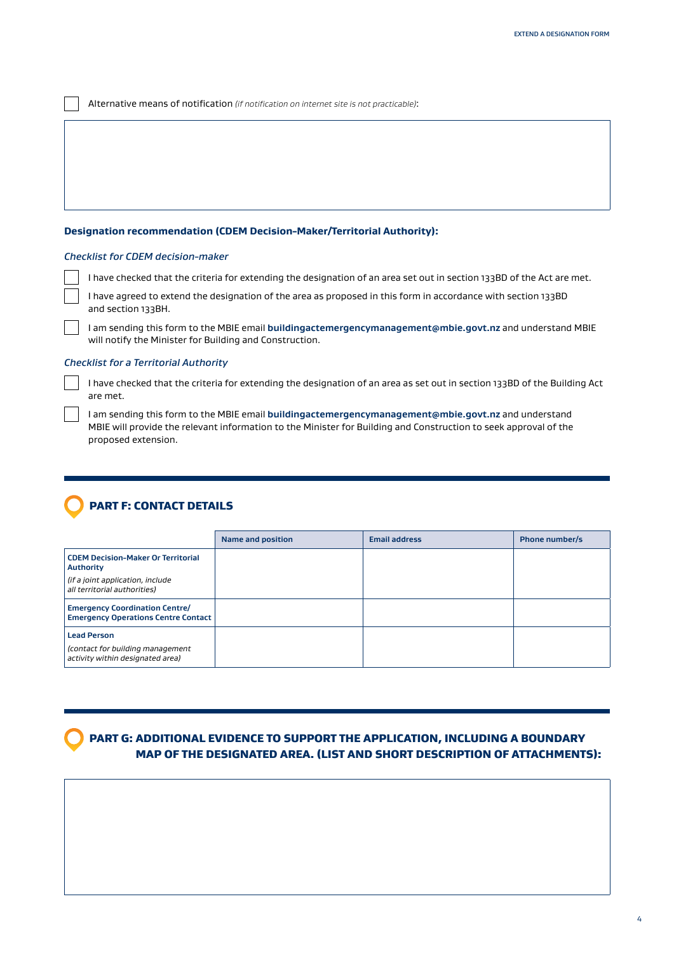Alternative means of notification *(if notification on internet site is not practicable)*:

#### **Designation recommendation (CDEM Decision-Maker/Territorial Authority):**

#### *Checklist for CDEM decision-maker*

I have checked that the criteria for extending the designation of an area set out in section 133BD of the Act are met.

I have agreed to extend the designation of the area as proposed in this form in accordance with section 133BD and section 133BH.

I am sending this form to the MBIE email **[buildingactemergencymanagement@mbie.govt.nz](mailto:buildingactemergencymanagement%40mbie.govt.nz?subject=)** and understand MBIE will notify the Minister for Building and Construction.

#### *Checklist for a Territorial Authority*

I have checked that the criteria for extending the designation of an area as set out in section 133BD of the Building Act are met.

I am sending this form to the MBIE email **[buildingactemergencymanagement@mbie.govt.nz](mailto:buildingactemergencymanagement%40mbie.govt.nz?subject=)** and understand MBIE will provide the relevant information to the Minister for Building and Construction to seek approval of the proposed extension.

# PART F: CONTACT DETAILS

|                                                                                            | Name and position | <b>Email address</b> | Phone number/s |
|--------------------------------------------------------------------------------------------|-------------------|----------------------|----------------|
| <b>CDEM Decision-Maker Or Territorial</b><br><b>Authority</b>                              |                   |                      |                |
| (if a joint application, include<br>all territorial authorities)                           |                   |                      |                |
| <b>Emergency Coordination Centre/</b><br><b>Emergency Operations Centre Contact</b>        |                   |                      |                |
| <b>Lead Person</b><br>(contact for building management<br>activity within designated area) |                   |                      |                |

 PART G: ADDITIONAL EVIDENCE TO SUPPORT THE APPLICATION, INCLUDING A BOUNDARY MAP OF THE DESIGNATED AREA. (LIST AND SHORT DESCRIPTION OF ATTACHMENTS):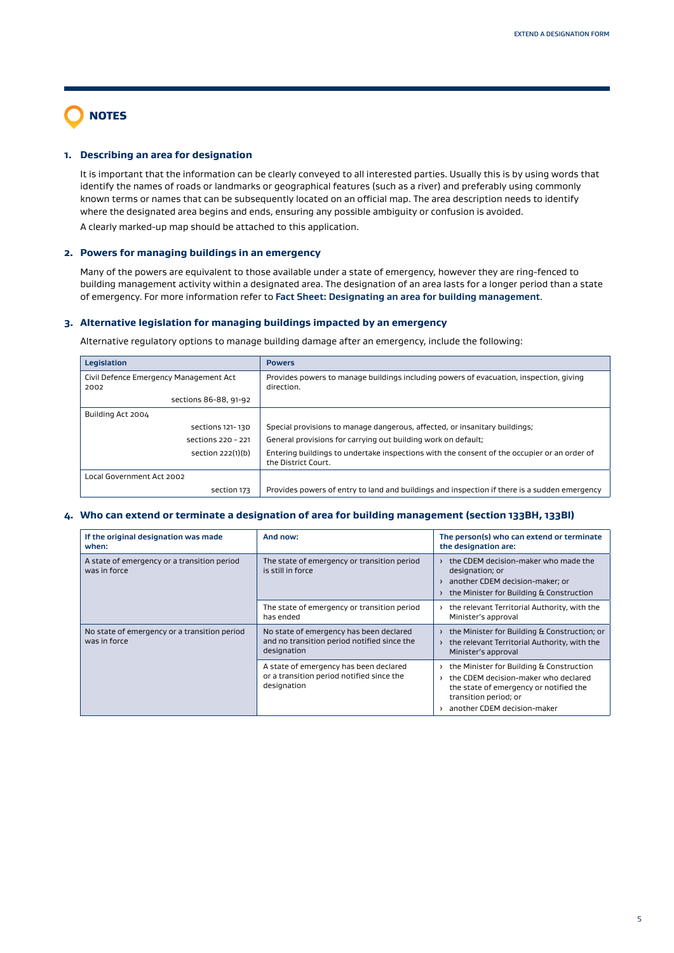# NOTES

#### **1. Describing an area for designation**

It is important that the information can be clearly conveyed to all interested parties. Usually this is by using words that identify the names of roads or landmarks or geographical features (such as a river) and preferably using commonly known terms or names that can be subsequently located on an official map. The area description needs to identify where the designated area begins and ends, ensuring any possible ambiguity or confusion is avoided.

A clearly marked-up map should be attached to this application.

#### **2. Powers for managing buildings in an emergency**

Many of the powers are equivalent to those available under a state of emergency, however they are ring-fenced to building management activity within a designated area. The designation of an area lasts for a longer period than a state of emergency. For more information refer to **[Fact Sheet: Designating an area for building management](https://www.building.govt.nz/managing-buildings/managing-buildings-in-an-emergency/#jumpto-resources-for-decision__002dmakers-and-territorial-authorities)**.

#### **3. Alternative legislation for managing buildings impacted by an emergency**

Alternative regulatory options to manage building damage after an emergency, include the following:

| Legislation                                    | <b>Powers</b>                                                                                                      |
|------------------------------------------------|--------------------------------------------------------------------------------------------------------------------|
| Civil Defence Emergency Management Act<br>2002 | Provides powers to manage buildings including powers of evacuation, inspection, giving<br>direction.               |
| sections 86-88, 91-92                          |                                                                                                                    |
| Building Act 2004                              |                                                                                                                    |
| sections 121-130                               | Special provisions to manage dangerous, affected, or insanitary buildings;                                         |
| sections 220 - 221                             | General provisions for carrying out building work on default;                                                      |
| section 222(1)(b)                              | Entering buildings to undertake inspections with the consent of the occupier or an order of<br>the District Court. |
| Local Government Act 2002                      |                                                                                                                    |
| section 173                                    | Provides powers of entry to land and buildings and inspection if there is a sudden emergency                       |

#### **4. Who can extend or terminate a designation of area for building management (section 133BH, 133BI)**

| If the original designation was made<br>when:                | And now:                                                                                              | The person(s) who can extend or terminate<br>the designation are:                                                                                                                  |
|--------------------------------------------------------------|-------------------------------------------------------------------------------------------------------|------------------------------------------------------------------------------------------------------------------------------------------------------------------------------------|
| A state of emergency or a transition period<br>was in force  | The state of emergency or transition period<br>is still in force                                      | the CDEM decision-maker who made the<br>designation; or<br>another CDEM decision-maker: or<br>the Minister for Building & Construction                                             |
|                                                              | The state of emergency or transition period<br>has ended                                              | the relevant Territorial Authority, with the<br>Minister's approval                                                                                                                |
| No state of emergency or a transition period<br>was in force | No state of emergency has been declared<br>and no transition period notified since the<br>designation | > the Minister for Building & Construction; or<br>> the relevant Territorial Authority, with the<br>Minister's approval                                                            |
|                                                              | A state of emergency has been declared<br>or a transition period notified since the<br>designation    | the Minister for Building & Construction<br>the CDEM decision-maker who declared<br>the state of emergency or notified the<br>transition period; or<br>another CDEM decision-maker |